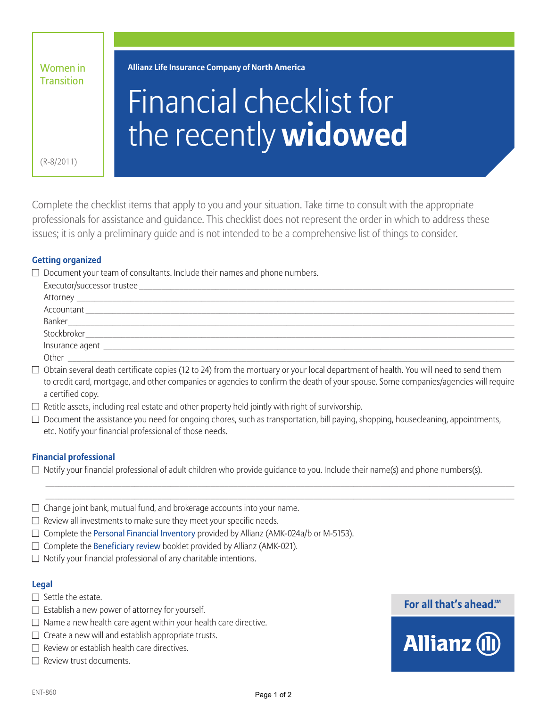| Women in          |
|-------------------|
| <b>Transition</b> |

**Allianz Life Insurance Company of North America**

# Financial checklist for the recently **widowed**

(R-8/2011)

Complete the checklist items that apply to you and your situation. Take time to consult with the appropriate professionals for assistance and guidance. This checklist does not represent the order in which to address these issues; it is only a preliminary guide and is not intended to be a comprehensive list of things to consider.

# **Getting organized**

 $\Box$  Document your team of consultants. Include their names and phone numbers.

| Executor/successor trustee          |  |  |  |
|-------------------------------------|--|--|--|
|                                     |  |  |  |
|                                     |  |  |  |
|                                     |  |  |  |
|                                     |  |  |  |
| Insurance agent ___________________ |  |  |  |
| Other                               |  |  |  |

 $\Box$  Obtain several death certificate copies (12 to 24) from the mortuary or your local department of health. You will need to send them to credit card, mortgage, and other companies or agencies to confirm the death of your spouse. Some companies/agencies will require a certified copy.

- $\Box$  Retitle assets, including real estate and other property held jointly with right of survivorship.
- $\Box$  Document the assistance you need for ongoing chores, such as transportation, bill paying, shopping, housecleaning, appointments, etc. Notify your financial professional of those needs.

 $\mathcal{L}_\text{max}$  , and the state of the state of the state of the state of the state of the state of the state of the state of the state of the state of the state of the state of the state of the state of the state of the st  $\frac{1}{2}$  ,  $\frac{1}{2}$  ,  $\frac{1}{2}$  ,  $\frac{1}{2}$  ,  $\frac{1}{2}$  ,  $\frac{1}{2}$  ,  $\frac{1}{2}$  ,  $\frac{1}{2}$  ,  $\frac{1}{2}$  ,  $\frac{1}{2}$  ,  $\frac{1}{2}$  ,  $\frac{1}{2}$  ,  $\frac{1}{2}$  ,  $\frac{1}{2}$  ,  $\frac{1}{2}$  ,  $\frac{1}{2}$  ,  $\frac{1}{2}$  ,  $\frac{1}{2}$  ,  $\frac{1$ 

# **Financial professional**

- $\Box$  Notify your financial professional of adult children who provide quidance to you. Include their name(s) and phone numbers(s).
- $\Box$  Change joint bank, mutual fund, and brokerage accounts into your name.
- $\Box$  Review all investments to make sure they meet your specific needs.
- $\Box$  Complete the Personal Financial Inventory provided by Allianz (AMK-024a/b or M-5153).
- $\Box$  Complete the Beneficiary review booklet provided by Allianz (AMK-021).
- $\Box$  Notify your financial professional of any charitable intentions.

#### **Legal**

- $\Box$  Settle the estate.
- $\Box$  Establish a new power of attorney for yourself.
- $\Box$  Name a new health care agent within your health care directive.
- $\Box$  Create a new will and establish appropriate trusts.
- $\Box$  Review or establish health care directives.
- $\Box$  Review trust documents.

# For all that's ahead.<sup>5M</sup>